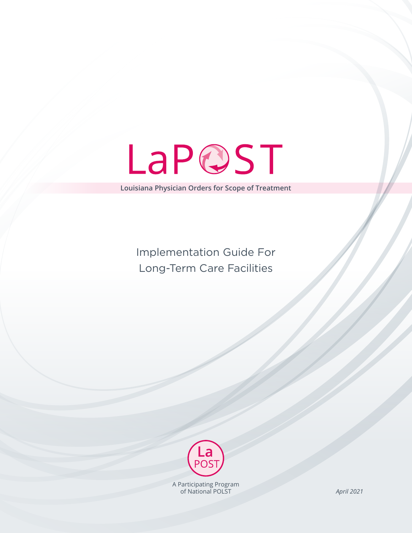LaPQST

**Louisiana Physician Orders for Scope of Treatment**

Implementation Guide For Long-Term Care Facilities



A Participating Program of National POLST

*April 2021*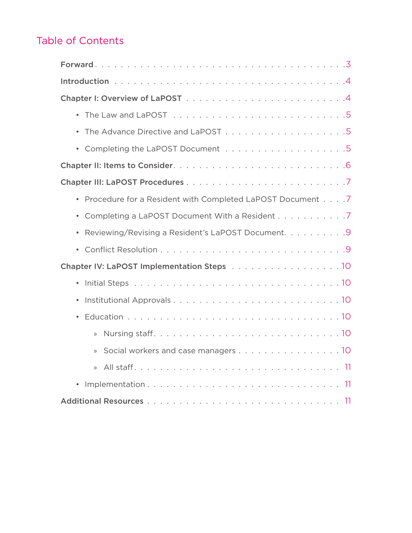# Table of Contents

| Procedure for a Resident with Completed LaPOST Document 7 |
|-----------------------------------------------------------|
| Completing a LaPOST Document With a Resident 7            |
| Reviewing/Revising a Resident's LaPOST Document. 9        |
|                                                           |
|                                                           |
| $\bullet$                                                 |
|                                                           |
|                                                           |
| $\mathcal{D}$                                             |
| Social workers and case managers 10<br>$\mathcal{V}$      |
| $\mathcal{V}$                                             |
|                                                           |
|                                                           |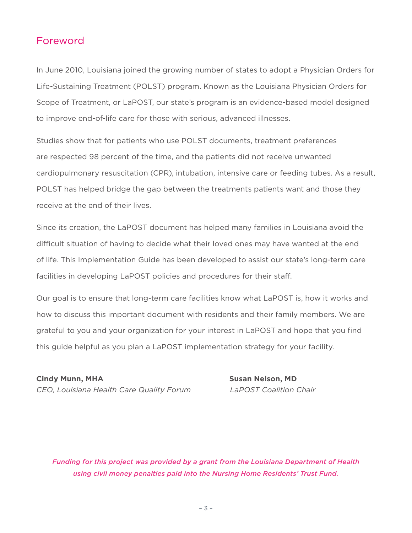## Foreword

In June 2010, Louisiana joined the growing number of states to adopt a Physician Orders for Life-Sustaining Treatment (POLST) program. Known as the Louisiana Physician Orders for Scope of Treatment, or LaPOST, our state's program is an evidence-based model designed to improve end-of-life care for those with serious, advanced illnesses.

Studies show that for patients who use POLST documents, treatment preferences are respected 98 percent of the time, and the patients did not receive unwanted cardiopulmonary resuscitation (CPR), intubation, intensive care or feeding tubes. As a result, POLST has helped bridge the gap between the treatments patients want and those they receive at the end of their lives.

Since its creation, the LaPOST document has helped many families in Louisiana avoid the difficult situation of having to decide what their loved ones may have wanted at the end of life. This Implementation Guide has been developed to assist our state's long-term care facilities in developing LaPOST policies and procedures for their staff.

Our goal is to ensure that long-term care facilities know what LaPOST is, how it works and how to discuss this important document with residents and their family members. We are grateful to you and your organization for your interest in LaPOST and hope that you find this guide helpful as you plan a LaPOST implementation strategy for your facility.

**Cindy Munn, MHA Susan Nelson, MD** *CEO, Louisiana Health Care Quality Forum LaPOST Coalition Chair*

*Funding for this project was provided by a grant from the Louisiana Department of Health using civil money penalties paid into the Nursing Home Residents' Trust Fund.*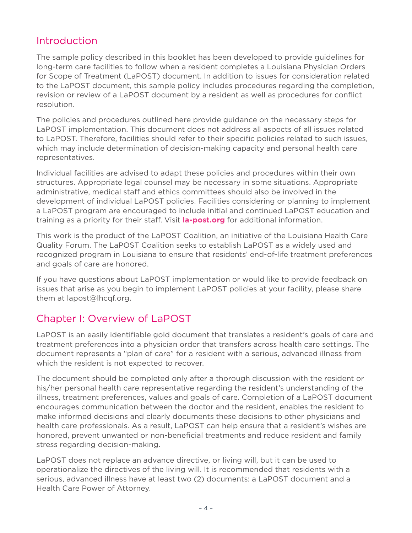## Introduction

The sample policy described in this booklet has been developed to provide guidelines for long-term care facilities to follow when a resident completes a Louisiana Physician Orders for Scope of Treatment (LaPOST) document. In addition to issues for consideration related to the LaPOST document, this sample policy includes procedures regarding the completion, revision or review of a LaPOST document by a resident as well as procedures for conflict resolution.

The policies and procedures outlined here provide guidance on the necessary steps for LaPOST implementation. This document does not address all aspects of all issues related to LaPOST. Therefore, facilities should refer to their specific policies related to such issues, which may include determination of decision-making capacity and personal health care representatives.

Individual facilities are advised to adapt these policies and procedures within their own structures. Appropriate legal counsel may be necessary in some situations. Appropriate administrative, medical staff and ethics committees should also be involved in the development of individual LaPOST policies. Facilities considering or planning to implement a LaPOST program are encouraged to include initial and continued LaPOST education and training as a priority for their staff. Visit **la-post.org** for additional information.

This work is the product of the LaPOST Coalition, an initiative of the Louisiana Health Care Quality Forum. The LaPOST Coalition seeks to establish LaPOST as a widely used and recognized program in Louisiana to ensure that residents' end-of-life treatment preferences and goals of care are honored.

If you have questions about LaPOST implementation or would like to provide feedback on issues that arise as you begin to implement LaPOST policies at your facility, please share them at lapost@lhcqf.org.

## Chapter I: Overview of LaPOST

LaPOST is an easily identifiable gold document that translates a resident's goals of care and treatment preferences into a physician order that transfers across health care settings. The document represents a "plan of care" for a resident with a serious, advanced illness from which the resident is not expected to recover.

The document should be completed only after a thorough discussion with the resident or his/her personal health care representative regarding the resident's understanding of the illness, treatment preferences, values and goals of care. Completion of a LaPOST document encourages communication between the doctor and the resident, enables the resident to make informed decisions and clearly documents these decisions to other physicians and health care professionals. As a result, LaPOST can help ensure that a resident's wishes are honored, prevent unwanted or non-beneficial treatments and reduce resident and family stress regarding decision-making.

LaPOST does not replace an advance directive, or living will, but it can be used to operationalize the directives of the living will. It is recommended that residents with a serious, advanced illness have at least two (2) documents: a LaPOST document and a Health Care Power of Attorney.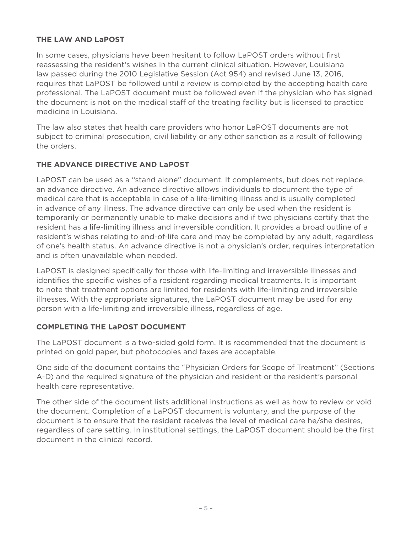### **THE LAW AND LaPOST**

In some cases, physicians have been hesitant to follow LaPOST orders without first reassessing the resident's wishes in the current clinical situation. However, Louisiana law passed during the 2010 Legislative Session (Act 954) and revised June 13, 2016, requires that LaPOST be followed until a review is completed by the accepting health care professional. The LaPOST document must be followed even if the physician who has signed the document is not on the medical staff of the treating facility but is licensed to practice medicine in Louisiana.

The law also states that health care providers who honor LaPOST documents are not subject to criminal prosecution, civil liability or any other sanction as a result of following the orders.

## **THE ADVANCE DIRECTIVE AND LaPOST**

LaPOST can be used as a "stand alone" document. It complements, but does not replace, an advance directive. An advance directive allows individuals to document the type of medical care that is acceptable in case of a life-limiting illness and is usually completed in advance of any illness. The advance directive can only be used when the resident is temporarily or permanently unable to make decisions and if two physicians certify that the resident has a life-limiting illness and irreversible condition. It provides a broad outline of a resident's wishes relating to end-of-life care and may be completed by any adult, regardless of one's health status. An advance directive is not a physician's order, requires interpretation and is often unavailable when needed.

LaPOST is designed specifically for those with life-limiting and irreversible illnesses and identifies the specific wishes of a resident regarding medical treatments. It is important to note that treatment options are limited for residents with life-limiting and irreversible illnesses. With the appropriate signatures, the LaPOST document may be used for any person with a life-limiting and irreversible illness, regardless of age.

## **COMPLETING THE LaPOST DOCUMENT**

The LaPOST document is a two-sided gold form. It is recommended that the document is printed on gold paper, but photocopies and faxes are acceptable.

One side of the document contains the "Physician Orders for Scope of Treatment" (Sections A-D) and the required signature of the physician and resident or the resident's personal health care representative.

The other side of the document lists additional instructions as well as how to review or void the document. Completion of a LaPOST document is voluntary, and the purpose of the document is to ensure that the resident receives the level of medical care he/she desires, regardless of care setting. In institutional settings, the LaPOST document should be the first document in the clinical record.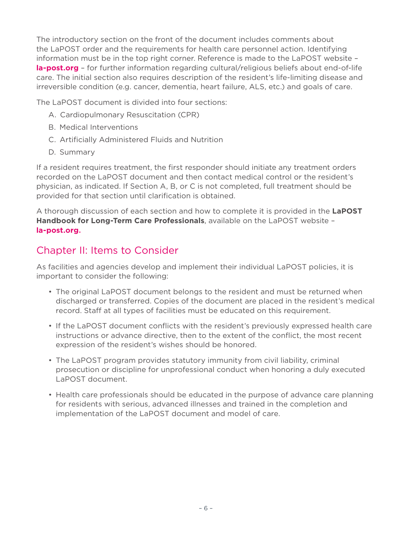The introductory section on the front of the document includes comments about the LaPOST order and the requirements for health care personnel action. Identifying information must be in the top right corner. Reference is made to the LaPOST website – **la-post.org** – for further information regarding cultural/religious beliefs about end-of-life care.
The initial section also requires description of the resident's life-limiting disease and irreversible condition (e.g. cancer, dementia, heart failure, ALS, etc.) and goals of care.

The LaPOST document is divided into four sections:

- A. Cardiopulmonary Resuscitation (CPR)
- B. Medical Interventions
- C. Artificially Administered Fluids and Nutrition
- D. Summary

If a resident requires treatment, the first responder should initiate any treatment orders recorded on the LaPOST document and then contact medical control or the resident's physician, as indicated. If Section A, B, or C is not completed, full treatment should be provided for that section until clarification is obtained.

A thorough discussion of each section and how to complete it is provided in the **LaPOST Handbook for Long-Term Care Professionals**, available on the LaPOST website – **la-post.org.**

## Chapter II: Items to Consider

As facilities and agencies develop and implement their individual LaPOST policies, it is important to consider the following:

- The original LaPOST document belongs to the resident and must be returned when discharged or transferred. Copies of the document are placed in the resident's medical record. Staff at all types of facilities must be educated on this requirement.
- If the LaPOST document conflicts with the resident's previously expressed health care instructions or advance directive, then to the extent of the conflict, the most recent expression of the resident's wishes should be honored.
- The LaPOST program provides statutory immunity from civil liability, criminal prosecution or discipline for unprofessional conduct when honoring a duly executed LaPOST document.
- Health care professionals should be educated in the purpose of advance care planning for residents with serious, advanced illnesses and trained in the completion and implementation of the LaPOST document and model of care.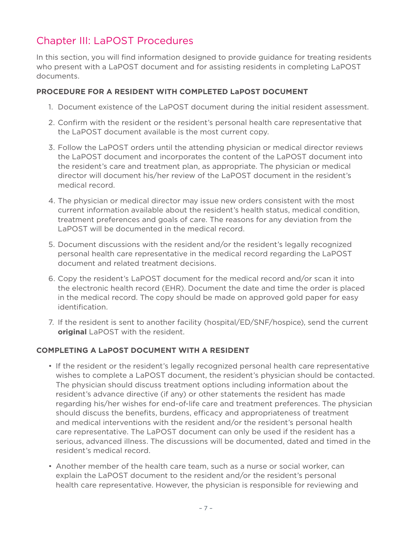# Chapter III: LaPOST Procedures

In this section, you will find information designed to provide guidance for treating residents who present with a LaPOST document and for assisting residents in completing LaPOST documents.

### **PROCEDURE FOR A RESIDENT WITH COMPLETED LaPOST DOCUMENT**

- 1. Document existence of the LaPOST document during the initial resident assessment.
- 2. Confirm with the resident or the resident's personal health care representative that the LaPOST document available is the most current copy.
- 3. Follow the LaPOST orders until the attending physician or medical director reviews the LaPOST document and incorporates the content of the LaPOST document into the resident's care and treatment plan, as appropriate. The physician or medical director will document his/her review of the LaPOST document in the resident's medical record.
- 4. The physician or medical director may issue new orders consistent with the most current information available about the resident's health status, medical condition, treatment preferences and goals of care. The reasons for any deviation from the LaPOST will be documented in the medical record.
- 5. Document discussions with the resident and/or the resident's legally recognized personal health care representative in the medical record regarding the LaPOST document and related treatment decisions.
- 6. Copy the resident's LaPOST document for the medical record and/or scan it into the electronic health record (EHR). Document the date and time the order is placed in the medical record. The copy should be made on approved gold paper for easy identification.
- 7. If the resident is sent to another facility (hospital/ED/SNF/hospice), send the current **original** LaPOST with the resident.

### **COMPLETING A LaPOST DOCUMENT WITH A RESIDENT**

- If the resident or the resident's legally recognized personal health care representative wishes to complete a LaPOST document, the resident's physician should be contacted. The physician should discuss treatment options including information about the resident's advance directive (if any) or other statements the resident has made regarding his/her wishes for end-of-life care and treatment preferences. The physician should discuss the benefits, burdens, efficacy and appropriateness of treatment and medical interventions with the resident and/or the resident's personal health care representative. The LaPOST document can only be used if the resident has a serious, advanced illness. The discussions will be documented, dated and timed in the resident's medical record.
- Another member of the health care team, such as a nurse or social worker, can explain the LaPOST document to the resident and/or the resident's personal health care representative. However, the physician is responsible for reviewing and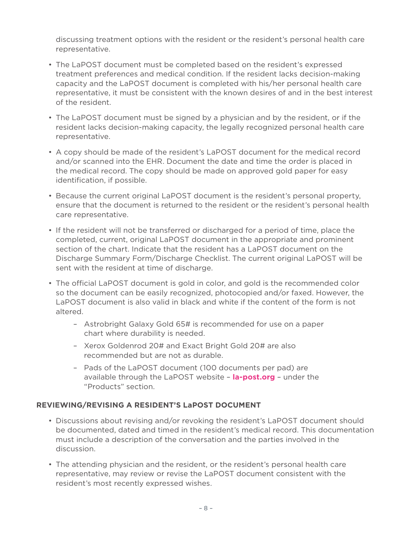discussing treatment options with the resident or the resident's personal health care representative.

- The LaPOST document must be completed based on the resident's expressed treatment preferences and medical condition. If the resident lacks decision-making capacity and the LaPOST document is completed with his/her personal health care representative, it must be consistent with the known desires of and in the best interest of the resident.
- The LaPOST document must be signed by a physician and by the resident, or if the resident lacks decision-making capacity, the legally recognized personal health care representative.
- A copy should be made of the resident's LaPOST document for the medical record and/or scanned into the EHR. Document the date and time the order is placed in the medical record. The copy should be made on approved gold paper for easy identification, if possible.
- Because the current original LaPOST document is the resident's personal property, ensure that the document is returned to the resident or the resident's personal health care representative.
- If the resident will not be transferred or discharged for a period of time, place the completed, current, original LaPOST document in the appropriate and prominent section of the chart. Indicate that the resident has a LaPOST document on the Discharge Summary Form/Discharge Checklist. The current original LaPOST will be sent with the resident at time of discharge.
- The official LaPOST document is gold in color, and gold is the recommended color so the document can be easily recognized, photocopied and/or faxed. However, the LaPOST document is also valid in black and white if the content of the form is not altered.
	- Astrobright Galaxy Gold 65# is recommended for use on a paper chart where durability is needed.
	- Xerox Goldenrod 20# and Exact Bright Gold 20# are also recommended but are not as durable.
	- Pads of the LaPOST document (100 documents per pad) are available through the LaPOST website – **la-post.org** – under the "Products" section.

## **REVIEWING/REVISING A RESIDENT'S LaPOST DOCUMENT**

- Discussions about revising and/or revoking the resident's LaPOST document should be documented, dated and timed in the resident's medical record. This documentation must include a description of the conversation and the parties involved in the discussion.
- The attending physician and the resident, or the resident's personal health care representative, may review or revise the LaPOST document consistent with the resident's most recently expressed wishes.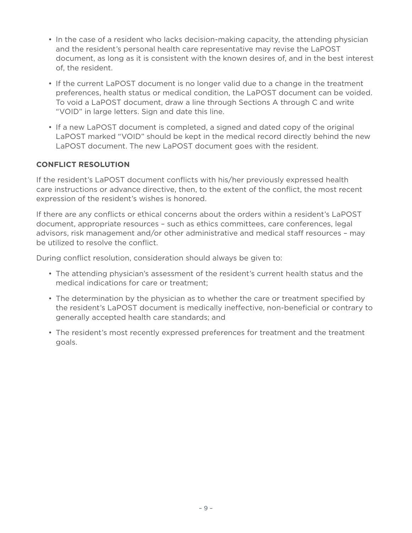- In the case of a resident who lacks decision-making capacity, the attending physician and the resident's personal health care representative may revise the LaPOST document, as long as it is consistent with the known desires of, and in the best interest of, the resident.
- If the current LaPOST document is no longer valid due to a change in the treatment preferences, health status or medical condition, the LaPOST document can be voided. To void a LaPOST document, draw a line through Sections A through C and write "VOID" in large letters. Sign and date this line.
- If a new LaPOST document is completed, a signed and dated copy of the original LaPOST marked "VOID" should be kept in the medical record directly behind the new LaPOST document. The new LaPOST document goes with the resident.

## **CONFLICT RESOLUTION**

If the resident's LaPOST document conflicts with his/her previously expressed health care instructions or advance directive, then, to the extent of the conflict, the most recent expression of the resident's wishes is honored.

If there are any conflicts or ethical concerns about the orders within a resident's LaPOST document, appropriate resources – such as ethics committees, care conferences, legal advisors, risk management and/or other administrative and medical staff resources – may be utilized to resolve the conflict.

During conflict resolution, consideration should always be given to:

- The attending physician's assessment of the resident's current health status and the medical indications for care or treatment;
- The determination by the physician as to whether the care or treatment specified by the resident's LaPOST document is medically ineffective, non-beneficial or contrary to generally accepted health care standards; and
- The resident's most recently expressed preferences for treatment and the treatment goals.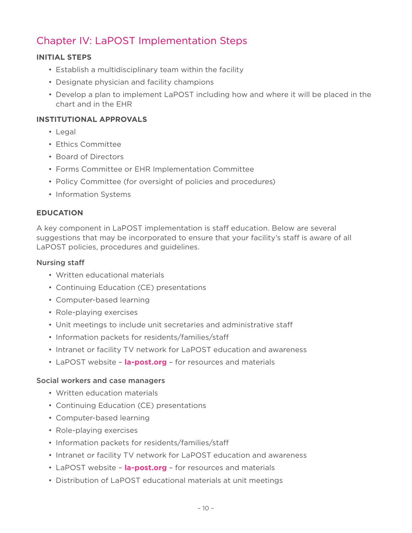# Chapter IV: LaPOST Implementation Steps

### **INITIAL STEPS**

- Establish a multidisciplinary team within the facility
- Designate physician and facility champions
- Develop a plan to implement LaPOST including how and where it will be placed in the chart and in the EHR

#### **INSTITUTIONAL APPROVALS**

- Legal
- Ethics Committee
- Board of Directors
- Forms Committee or EHR Implementation Committee
- Policy Committee (for oversight of policies and procedures)
- Information Systems

#### **EDUCATION**

A key component in LaPOST implementation is staff education. Below are several suggestions that may be incorporated to ensure that your facility's staff is aware of all LaPOST policies, procedures and guidelines.

#### Nursing staff

- Written educational materials
- Continuing Education (CE) presentations
- Computer-based learning
- Role-playing exercises
- Unit meetings to include unit secretaries and administrative staff
- Information packets for residents/families/staff
- Intranet or facility TV network for LaPOST education and awareness
- LaPOST website **la-post.org** for resources and materials

#### Social workers and case managers

- Written education materials
- Continuing Education (CE) presentations
- Computer-based learning
- Role-playing exercises
- Information packets for residents/families/staff
- Intranet or facility TV network for LaPOST education and awareness
- LaPOST website **la-post.org** for resources and materials
- Distribution of LaPOST educational materials at unit meetings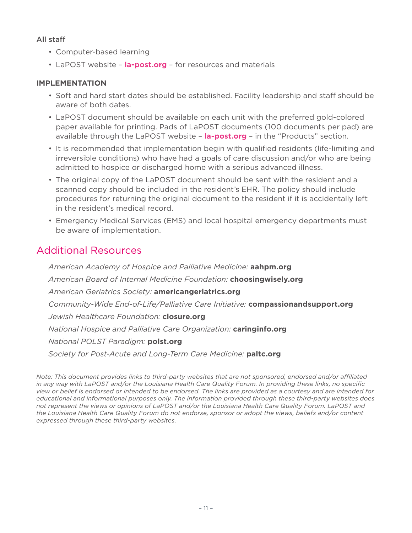### All staff

- Computer-based learning
- LaPOST website **la-post.org** for resources and materials

#### **IMPLEMENTATION**

- Soft and hard start dates should be established. Facility leadership and staff should be aware of both dates.
- LaPOST document should be available on each unit with the preferred gold-colored paper available for printing. Pads of LaPOST documents (100 documents per pad) are available through the LaPOST website – **la-post.org** – in the "Products" section.
- It is recommended that implementation begin with qualified residents (life-limiting and irreversible conditions) who have had a goals of care discussion and/or who are being admitted to hospice or discharged home with a serious advanced illness.
- The original copy of the LaPOST document should be sent with the resident and a scanned copy should be included in the resident's EHR. The policy should include procedures for returning the original document to the resident if it is accidentally left in the resident's medical record.
- Emergency Medical Services (EMS) and local hospital emergency departments must be aware of implementation.

## Additional Resources

*American Academy of Hospice and Palliative Medicine:* **aahpm.org** *American Board of Internal Medicine Foundation:* **choosingwisely.org** *American Geriatrics Society:* **americangeriatrics.org** *Community-Wide End-of-Life/Palliative Care Initiative:* **compassionandsupport.org** *Jewish Healthcare Foundation:* **closure.org** *National Hospice and Palliative Care Organization:* **caringinfo.org** *National POLST Paradigm:* **polst.org** *Society for Post-Acute and Long-Term Care Medicine:* **paltc.org**

*Note: This document provides links to third-party websites that are not sponsored, endorsed and/or affiliated in any way with LaPOST and/or the Louisiana Health Care Quality Forum. In providing these links, no specific view or belief is endorsed or intended to be endorsed. The links are provided as a courtesy and are intended for educational and informational purposes only. The information provided through these third-party websites does not represent the views or opinions of LaPOST and/or the Louisiana Health Care Quality Forum. LaPOST and the Louisiana Health Care Quality Forum do not endorse, sponsor or adopt the views, beliefs and/or content expressed through these third-party websites.*